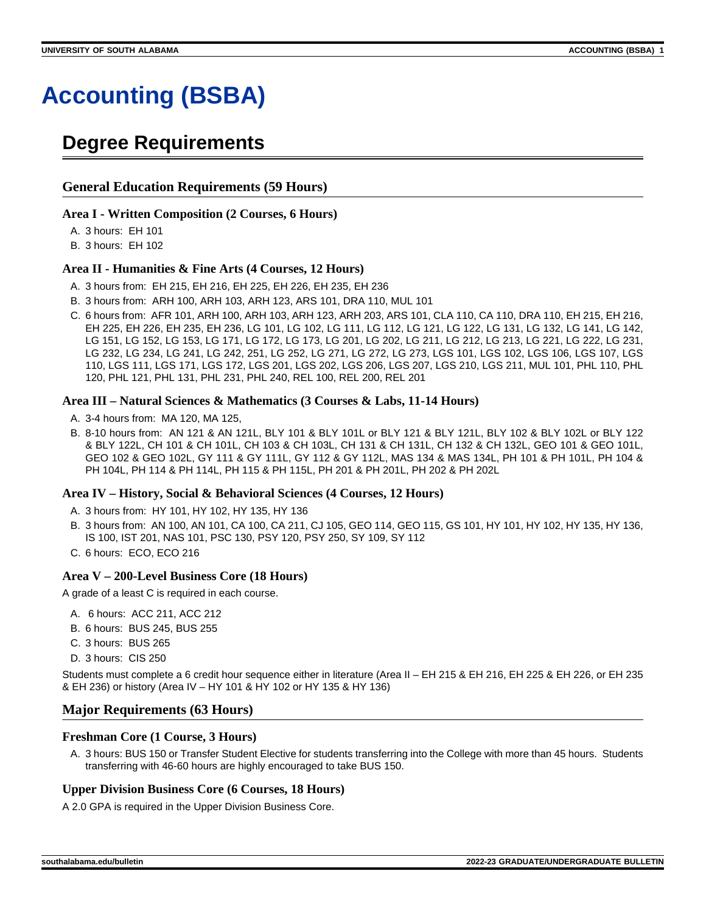# **Accounting (BSBA)**

## **Degree Requirements**

#### **General Education Requirements (59 Hours)**

#### **Area I - Written Composition (2 Courses, 6 Hours)**

A. 3 hours: EH 101

B. 3 hours: EH 102

#### **Area II - Humanities & Fine Arts (4 Courses, 12 Hours)**

- A. 3 hours from: EH 215, EH 216, EH 225, EH 226, EH 235, EH 236
- B. 3 hours from: ARH 100, ARH 103, ARH 123, ARS 101, DRA 110, MUL 101
- C. 6 hours from: AFR 101, ARH 100, ARH 103, ARH 123, ARH 203, ARS 101, CLA 110, CA 110, DRA 110, EH 215, EH 216, EH 225, EH 226, EH 235, EH 236, LG 101, LG 102, LG 111, LG 112, LG 121, LG 122, LG 131, LG 132, LG 141, LG 142, LG 151, LG 152, LG 153, LG 171, LG 172, LG 173, LG 201, LG 202, LG 211, LG 212, LG 213, LG 221, LG 222, LG 231, LG 232, LG 234, LG 241, LG 242, 251, LG 252, LG 271, LG 272, LG 273, LGS 101, LGS 102, LGS 106, LGS 107, LGS 110, LGS 111, LGS 171, LGS 172, LGS 201, LGS 202, LGS 206, LGS 207, LGS 210, LGS 211, MUL 101, PHL 110, PHL 120, PHL 121, PHL 131, PHL 231, PHL 240, REL 100, REL 200, REL 201

#### **Area III – Natural Sciences & Mathematics (3 Courses & Labs, 11-14 Hours)**

- A. 3-4 hours from: MA 120, MA 125,
- B. 8-10 hours from: AN 121 & AN 121L, BLY 101 & BLY 101L or BLY 121 & BLY 121L, BLY 102 & BLY 102L or BLY 122 & BLY 122L, CH 101 & CH 101L, CH 103 & CH 103L, CH 131 & CH 131L, CH 132 & CH 132L, GEO 101 & GEO 101L, GEO 102 & GEO 102L, GY 111 & GY 111L, GY 112 & GY 112L, MAS 134 & MAS 134L, PH 101 & PH 101L, PH 104 & PH 104L, PH 114 & PH 114L, PH 115 & PH 115L, PH 201 & PH 201L, PH 202 & PH 202L

#### **Area IV – History, Social & Behavioral Sciences (4 Courses, 12 Hours)**

- A. 3 hours from: HY 101, HY 102, HY 135, HY 136
- B. 3 hours from: AN 100, AN 101, CA 100, CA 211, CJ 105, GEO 114, GEO 115, GS 101, HY 101, HY 102, HY 135, HY 136, IS 100, IST 201, NAS 101, PSC 130, PSY 120, PSY 250, SY 109, SY 112
- C. 6 hours: ECO, ECO 216

#### **Area V – 200-Level Business Core (18 Hours)**

A grade of a least C is required in each course.

- A. 6 hours: ACC 211, ACC 212
- B. 6 hours: BUS 245, BUS 255
- C. 3 hours: BUS 265
- D. 3 hours: CIS 250

Students must complete a 6 credit hour sequence either in literature (Area II – EH 215 & EH 216, EH 225 & EH 226, or EH 235 & EH 236) or history (Area IV – HY 101 & HY 102 or HY 135 & HY 136)

#### **Major Requirements (63 Hours)**

#### **Freshman Core (1 Course, 3 Hours)**

A. 3 hours: BUS 150 or Transfer Student Elective for students transferring into the College with more than 45 hours. Students transferring with 46-60 hours are highly encouraged to take BUS 150.

#### **Upper Division Business Core (6 Courses, 18 Hours)**

A 2.0 GPA is required in the Upper Division Business Core.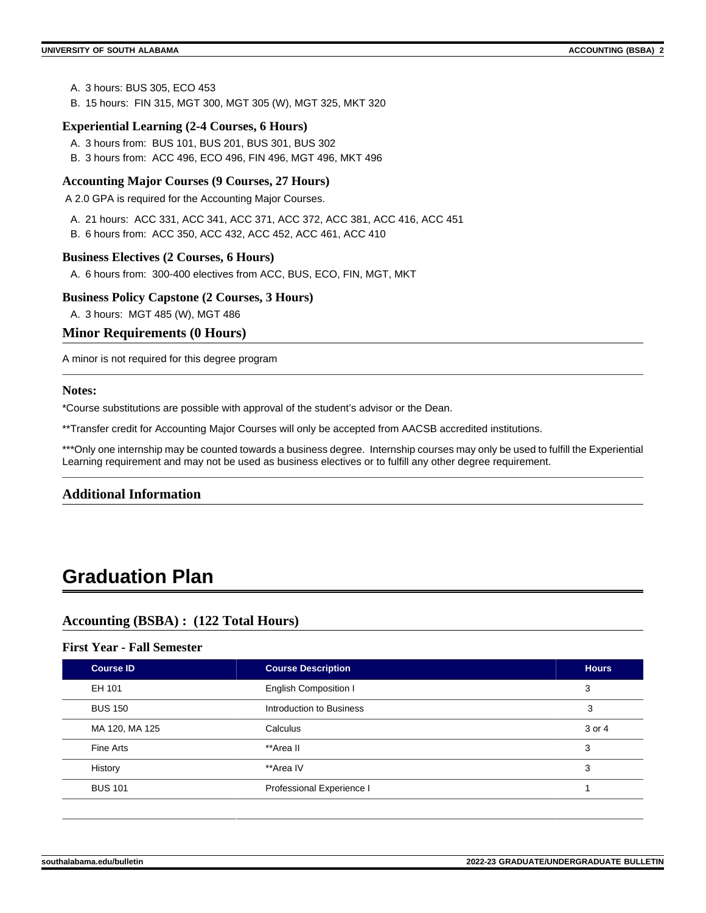- A. 3 hours: BUS 305, ECO 453
- B. 15 hours: FIN 315, MGT 300, MGT 305 (W), MGT 325, MKT 320

#### **Experiential Learning (2-4 Courses, 6 Hours)**

- A. 3 hours from: BUS 101, BUS 201, BUS 301, BUS 302
- B. 3 hours from: ACC 496, ECO 496, FIN 496, MGT 496, MKT 496

#### **Accounting Major Courses (9 Courses, 27 Hours)**

A 2.0 GPA is required for the Accounting Major Courses.

- A. 21 hours: ACC 331, ACC 341, ACC 371, ACC 372, ACC 381, ACC 416, ACC 451
- B. 6 hours from: ACC 350, ACC 432, ACC 452, ACC 461, ACC 410

#### **Business Electives (2 Courses, 6 Hours)**

A. 6 hours from: 300-400 electives from ACC, BUS, ECO, FIN, MGT, MKT

#### **Business Policy Capstone (2 Courses, 3 Hours)**

A. 3 hours: MGT 485 (W), MGT 486

#### **Minor Requirements (0 Hours)**

A minor is not required for this degree program

#### **Notes:**

\*Course substitutions are possible with approval of the student's advisor or the Dean.

\*\*Transfer credit for Accounting Major Courses will only be accepted from AACSB accredited institutions.

\*\*\* Only one internship may be counted towards a business degree. Internship courses may only be used to fulfill the Experiential Learning requirement and may not be used as business electives or to fulfill any other degree requirement.

### **Additional Information**

## **Graduation Plan**

## **Accounting (BSBA) : (122 Total Hours)**

#### **First Year - Fall Semester**

| <b>Course ID</b> | <b>Course Description</b>    | <b>Hours</b> |
|------------------|------------------------------|--------------|
| EH 101           | <b>English Composition I</b> | 3            |
| <b>BUS 150</b>   | Introduction to Business     | 3            |
| MA 120, MA 125   | Calculus                     | 3 or 4       |
| Fine Arts        | **Area II                    | 3            |
| History          | **Area IV                    | 3            |
| <b>BUS 101</b>   | Professional Experience I    |              |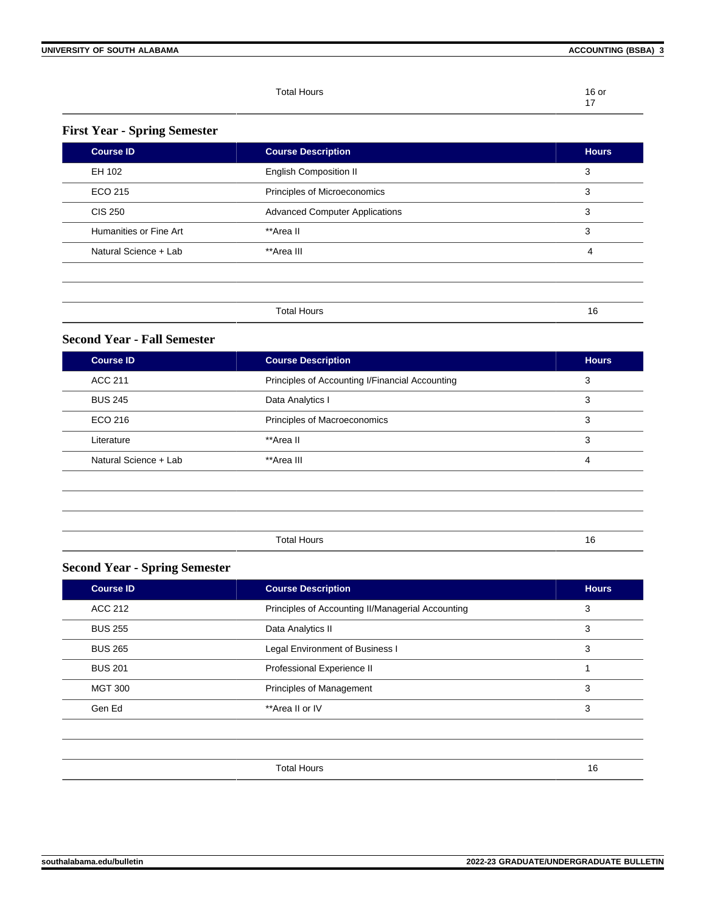| Total Hours | $16$ or |
|-------------|---------|
|             | 17      |

## **First Year - Spring Semester**

| <b>Course ID</b>       | <b>Course Description</b>             | <b>Hours</b> |
|------------------------|---------------------------------------|--------------|
| EH 102                 | <b>English Composition II</b>         | 3            |
| ECO 215                | Principles of Microeconomics          | 3            |
| <b>CIS 250</b>         | <b>Advanced Computer Applications</b> | 3            |
| Humanities or Fine Art | **Area II                             | 3            |
| Natural Science + Lab  | **Area III                            | 4            |
|                        |                                       |              |
|                        |                                       |              |
|                        | <b>Total Hours</b>                    | 16           |

## **Second Year - Fall Semester**

| <b>Course Description</b>                       | <b>Hours</b> |
|-------------------------------------------------|--------------|
| Principles of Accounting I/Financial Accounting | 3            |
| Data Analytics I                                | 3            |
| Principles of Macroeconomics                    | 3            |
| **Area II                                       | 3            |
| **Area III                                      | 4            |
|                                                 |              |
|                                                 |              |
|                                                 |              |
| <b>Total Hours</b>                              | 16           |
|                                                 |              |

## **Second Year - Spring Semester**

| Course ID      | <b>Course Description</b>                         | <b>Hours</b> |
|----------------|---------------------------------------------------|--------------|
| ACC 212        | Principles of Accounting II/Managerial Accounting | 3            |
| <b>BUS 255</b> | Data Analytics II                                 | 3            |
| <b>BUS 265</b> | Legal Environment of Business I                   | 3            |
| <b>BUS 201</b> | Professional Experience II                        |              |
| <b>MGT 300</b> | Principles of Management                          | 3            |
| Gen Ed         | **Area II or IV                                   | 3            |
|                |                                                   |              |
|                |                                                   |              |
|                | <b>Total Hours</b>                                | 16           |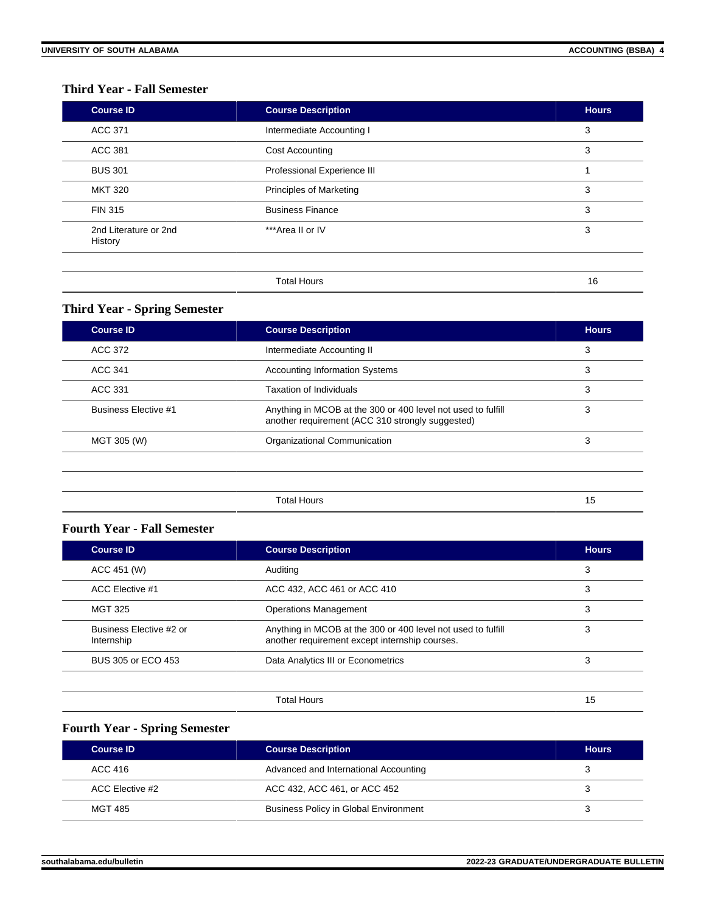## **Third Year - Fall Semester**

| <b>Course ID</b>                 | <b>Course Description</b>      | <b>Hours</b> |
|----------------------------------|--------------------------------|--------------|
| ACC 371                          | Intermediate Accounting I      | 3            |
| <b>ACC 381</b>                   | Cost Accounting                | 3            |
| <b>BUS 301</b>                   | Professional Experience III    |              |
| MKT 320                          | <b>Principles of Marketing</b> | 3            |
| <b>FIN 315</b>                   | <b>Business Finance</b>        | 3            |
| 2nd Literature or 2nd<br>History | ***Area II or IV               | 3            |
|                                  |                                |              |
|                                  | <b>Total Hours</b>             | 16           |

## **Third Year - Spring Semester**

| <b>Course ID</b>            | <b>Course Description</b>                                                                                        | <b>Hours</b> |
|-----------------------------|------------------------------------------------------------------------------------------------------------------|--------------|
| ACC 372                     | Intermediate Accounting II                                                                                       | 3            |
| <b>ACC 341</b>              | <b>Accounting Information Systems</b>                                                                            | 3            |
| ACC 331                     | Taxation of Individuals                                                                                          | 3            |
| <b>Business Elective #1</b> | Anything in MCOB at the 300 or 400 level not used to fulfill<br>another requirement (ACC 310 strongly suggested) | 3            |
| MGT 305 (W)                 | Organizational Communication                                                                                     | 3            |
|                             |                                                                                                                  |              |
|                             |                                                                                                                  |              |
|                             | <b>Total Hours</b>                                                                                               | 15           |

#### **Fourth Year - Fall Semester**

| <b>Course ID</b>                      | <b>Course Description</b>                                                                                      | <b>Hours</b> |
|---------------------------------------|----------------------------------------------------------------------------------------------------------------|--------------|
| ACC 451 (W)                           | Auditing                                                                                                       | 3            |
| <b>ACC Elective #1</b>                | ACC 432, ACC 461 or ACC 410                                                                                    | 3            |
| <b>MGT 325</b>                        | <b>Operations Management</b>                                                                                   | 3            |
| Business Elective #2 or<br>Internship | Anything in MCOB at the 300 or 400 level not used to fulfill<br>another requirement except internship courses. | 3            |
| BUS 305 or ECO 453                    | Data Analytics III or Econometrics                                                                             | 3            |
|                                       |                                                                                                                |              |
|                                       | Total Hours                                                                                                    | 15           |

## **Fourth Year - Spring Semester**

| <b>Course ID</b> | <b>Course Description</b>                    | <b>Hours</b> |
|------------------|----------------------------------------------|--------------|
| ACC 416          | Advanced and International Accounting        |              |
| ACC Elective #2  | ACC 432, ACC 461, or ACC 452                 |              |
| MGT 485          | <b>Business Policy in Global Environment</b> | ີ            |